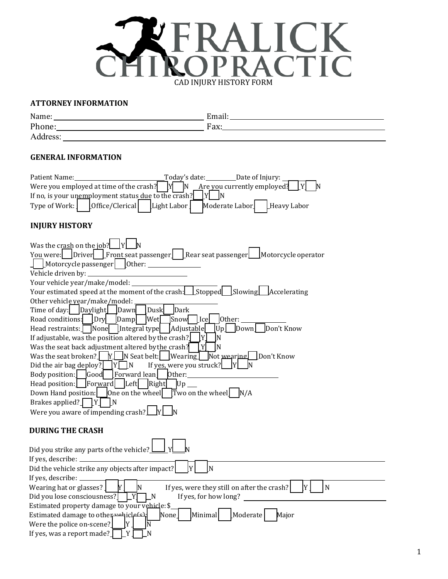

#### **ATTORNEY INFORMATION**

| Name:    | Email: |
|----------|--------|
| Phone:   | Fax:   |
| Address: |        |

#### **GENERAL INFORMATION**

| Patient Name:<br>Today's date: _______________Date of Injury:<br>Are you currently employed?<br>Were you employed at time of the crash?<br>IN.<br>IYI<br>If no, is your unemployment status due to the crash?<br>IN<br>Office/Clerical<br>Light Labor<br>Type of Work:<br>Moderate Labor<br>Heavy Labor                                                                                                                                                                                                                                                                                                                                                                                                                                                                                                                                                                                                                                                                                                                                                                                                                                               |
|-------------------------------------------------------------------------------------------------------------------------------------------------------------------------------------------------------------------------------------------------------------------------------------------------------------------------------------------------------------------------------------------------------------------------------------------------------------------------------------------------------------------------------------------------------------------------------------------------------------------------------------------------------------------------------------------------------------------------------------------------------------------------------------------------------------------------------------------------------------------------------------------------------------------------------------------------------------------------------------------------------------------------------------------------------------------------------------------------------------------------------------------------------|
| <b>INJURY HISTORY</b>                                                                                                                                                                                                                                                                                                                                                                                                                                                                                                                                                                                                                                                                                                                                                                                                                                                                                                                                                                                                                                                                                                                                 |
| Was the crash on the job?<br>You were: [Driver] Front seat passenger] [Rear seat passenger]<br>Motorcycle operator<br>Other:<br>$\lfloor$ Motorcycle passenger $\lfloor$<br>Vehicle driven by:<br>Your vehicle year/make/model:<br>Your estimated speed at the moment of the crash: Stopped Slowing Accelerating<br>Other vehicle year/make/model:<br>Dark<br>Time of day:     Daylight<br>Dusk<br>Dawn<br>Road conditions:<br>$_{\rm{Dry}}$<br>Wet<br>Snow<br>$\lfloor$ Ice<br>Other:<br>Damp<br>Adjustable<br>Don't Know<br>Head restraints: $\Box$ None   [Integral type<br>Down<br> Up <br>If adjustable, was the position altered by the crash?<br>IY.<br>ΙN<br>Was the seat back adjustment altered by the crash?<br>IN<br>Was the seat broken? $\boxed{Y}$ N Seat belt: Wearing<br>Not wearing   Don't Know<br>Did the air bag deploy?<br>If yes, were you struck?<br>$[Y]$ M<br>Body position:<br>Good<br>[Forward lean]<br>Other:<br> For <u>wa</u> rd   Left <br>Right<br>Head position:<br>Up.<br>One on the wheel<br>Two on the wheel<br>Down Hand position:<br>N/A<br>Brakes applied?<br>IY I<br>N<br>Were you aware of impending crash? |
| <b>DURING THE CRASH</b>                                                                                                                                                                                                                                                                                                                                                                                                                                                                                                                                                                                                                                                                                                                                                                                                                                                                                                                                                                                                                                                                                                                               |
| Did you strike any parts of the vehicle?<br>If yes, describe:<br>Did the vehicle strike any objects after impact?<br>N<br>If yes, describe:<br>ly.<br>Wearing hat or glasses?<br>If yes, were they still on after the crash?<br>$\mathbf N$<br>IN<br>Did you lose consciousness?<br>If yes, for how long?<br>N<br>Estimated property damage to your vehicle: $$$<br>Minimal<br>Moderate<br>Estimated damage to other unhicless.<br>None<br>Major                                                                                                                                                                                                                                                                                                                                                                                                                                                                                                                                                                                                                                                                                                      |
| ΙY.<br>Were the police on-scene?<br>If yes, was a report made?<br>$Y_{-}$<br>N                                                                                                                                                                                                                                                                                                                                                                                                                                                                                                                                                                                                                                                                                                                                                                                                                                                                                                                                                                                                                                                                        |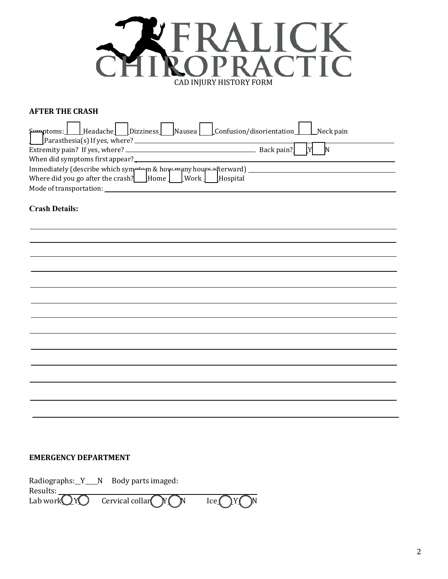

#### **AFTER THE CRASH**

| Emmptoms: Headache Dizziness Nausea Confusion/disorientation Reck pain |
|------------------------------------------------------------------------|
|                                                                        |
|                                                                        |
| When did symptoms first appear?<br><u>Lettin manufacture</u>           |
|                                                                        |
|                                                                        |
| Mode of transportation:                                                |

#### **Crash Details:**

#### **EMERGENCY DEPARTMENT**

Radiographs: $Y_N$  Body parts imaged: Results:  $\angle$ Lab work $\bigcirc$ Y $\bigcirc$ Cervical collar  $\bigcap Y \bigcap N$  Ice  $\bigcap Y \bigcup$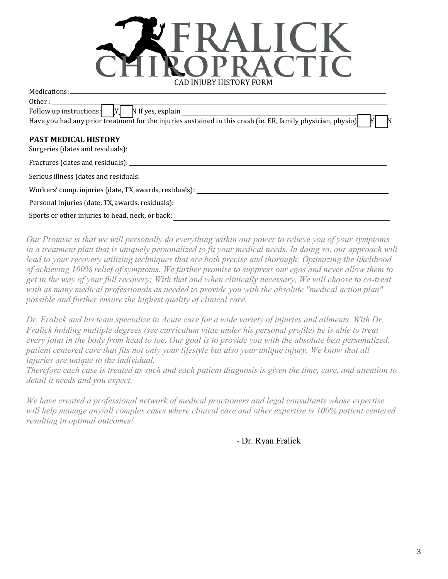

| Other: $\qquad \qquad \qquad$                                                                                |
|--------------------------------------------------------------------------------------------------------------|
| Follow up instructions: $[Y]$ N If yes, explain $\sqrt{Y}$                                                   |
| Have you had any prior treatment for the injuries sustained in this crash (ie. ER, family physician, physio) |
| <b>PAST MEDICAL HISTORY</b>                                                                                  |
|                                                                                                              |
|                                                                                                              |
|                                                                                                              |
| Workers' comp. injuries (date, TX, awards, residuals): __________________________                            |
|                                                                                                              |
| Sports or other injuries to head, neck, or back:                                                             |

*Our Promise is that we will personally do everything within our power to relieve you of your symptoms*  in a treatment plan that is uniquely personalized to fit your medical needs. In doing so, our approach will *lead to your recovery utilizing techniques that are both precise and thorough; Optimizing the likelihood of achieving 100% relief of symptoms. We further promise to suppress our egos and never allow them to get in the way of your full recovery; With that and when clinically necessary, We will choose to co-treat with as many medical professionals as needed to provide you with the absolute "medical action plan" possible and further ensure the highest quality of clinical care.* 

*Dr. Fralick and his team specialize in Acute care for a wide variety of injuries and ailments. With Dr. Fralick holding multiple degrees (see curriculum vitae under his personal profile) he is able to treat every joint in the body from head to toe. Our goal is to provide you with the absolute best personalized, patient centered care that fits not only your lifestyle but also your unique injury. We know that all injuries are unique to the individual.* 

*Therefore each case is treated as such and each patient diagnosis is given the time, care, and attention to detail it needs and you expect.* 

*We have created a professional network of medical practioners and legal consultants whose expertise will help manage any/all complex cases where clinical care and other expertise is 100% patient centered resulting in optimal outcomes!* 

- Dr. Ryan Fralick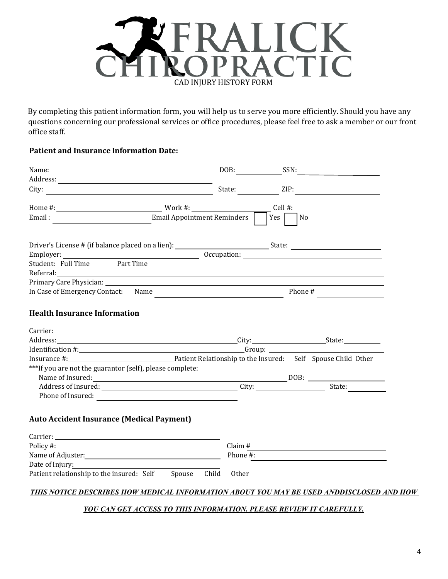

By completing this patient information form, you will help us to serve you more efficiently. Should you have any questions concerning our professional services or office procedures, please feel free to ask a member or our front office staff.

## **Patient and Insurance Information Date:**

|                                                                                                                                                                                                                                |                         | $DOB:$ SSN:                       |
|--------------------------------------------------------------------------------------------------------------------------------------------------------------------------------------------------------------------------------|-------------------------|-----------------------------------|
|                                                                                                                                                                                                                                |                         |                                   |
|                                                                                                                                                                                                                                | State:                  | ZIP:                              |
|                                                                                                                                                                                                                                |                         | $Cell$ #:                         |
| Email Appointment Reminders<br>Email:                                                                                                                                                                                          | Yes                     | $\overline{\phantom{a}}$ No       |
|                                                                                                                                                                                                                                |                         |                                   |
|                                                                                                                                                                                                                                |                         |                                   |
| Referral: and the contract of the contract of the contract of the contract of the contract of the contract of the contract of the contract of the contract of the contract of the contract of the contract of the contract of  |                         |                                   |
|                                                                                                                                                                                                                                |                         |                                   |
|                                                                                                                                                                                                                                |                         |                                   |
| Carrier: and the contract of the contract of the contract of the contract of the contract of the contract of the contract of the contract of the contract of the contract of the contract of the contract of the contract of t |                         |                                   |
|                                                                                                                                                                                                                                |                         |                                   |
| Insurance #: 1990 1200 2000 Patient Relationship to the Insured: Self Spouse Child Other                                                                                                                                       |                         |                                   |
| ***If you are not the guarantor (self), please complete:<br>Name of Insured:<br><u>DOB:</u>                                                                                                                                    |                         |                                   |
| Address of Insured: City: City:                                                                                                                                                                                                |                         | $\frac{1}{\text{State:}}$         |
|                                                                                                                                                                                                                                |                         |                                   |
|                                                                                                                                                                                                                                |                         |                                   |
| <b>Auto Accident Insurance (Medical Payment)</b>                                                                                                                                                                               |                         |                                   |
|                                                                                                                                                                                                                                |                         |                                   |
| Policy #:                                                                                                                                                                                                                      | Claim # $\qquad \qquad$ |                                   |
|                                                                                                                                                                                                                                |                         |                                   |
| Date of Injury:                                                                                                                                                                                                                |                         | Phone $\frac{\text{#}}{\text{#}}$ |
| Patient relationship to the insured: Self Spouse Child                                                                                                                                                                         | <b>Other</b>            |                                   |

#### *YOU CAN GET ACCESS TO THIS INFORMATION. PLEASE REVIEW IT CAREFULLY.*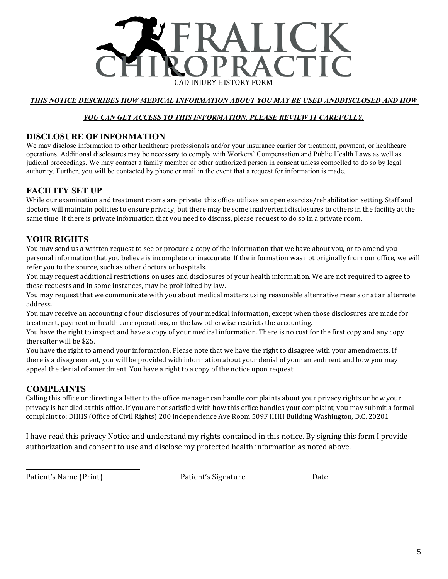

## *THIS NOTICE DESCRIBES HOW MEDICAL INFORMATION ABOUT YOU MAY BE USED ANDDISCLOSED AND HOW*

#### *YOU CAN GET ACCESS TO THIS INFORMATION. PLEASE REVIEW IT CAREFULLY.*

## **DISCLOSURE OF INFORMATION**

We may disclose information to other healthcare professionals and/or your insurance carrier for treatment, payment, or healthcare operations. Additional disclosures may be necessary to comply with Workers' Compensation and Public Health Laws as well as judicial proceedings. We may contact a family member or other authorized person in consent unless compelled to do so by legal authority. Further, you will be contacted by phone or mail in the event that a request for information is made.

# **FACILITY SET UP**

While our examination and treatment rooms are private, this office utilizes an open exercise/rehabilitation setting. Staff and doctors will maintain policies to ensure privacy, but there may be some inadvertent disclosures to others in the facility at the same time. If there is private information that you need to discuss, please request to do so in a private room.

# **YOUR RIGHTS**

You may send us a written request to see or procure a copy of the information that we have about you, or to amend you personal information that you believe is incomplete or inaccurate. If the information was not originally from our office, we will refer you to the source, such as other doctors or hospitals.

You may request additional restrictions on uses and disclosures of your health information. We are not required to agree to these requests and in some instances, may be prohibited by law.

You may request that we communicate with you about medical matters using reasonable alternative means or at an alternate address.

You may receive an accounting of our disclosures of your medical information, except when those disclosures are made for treatment, payment or health care operations, or the law otherwise restricts the accounting.

You have the right to inspect and have a copy of your medical information. There is no cost for the first copy and any copy thereafter will be \$25.

You have the right to amend your information. Please note that we have the right to disagree with your amendments. If there is a disagreement, you will be provided with information about your denial of your amendment and how you may appeal the denial of amendment. You have a right to a copy of the notice upon request.

#### **COMPLAINTS**

Calling this office or directing a letter to the office manager can handle complaints about your privacy rights or how your privacy is handled at this office. If you are not satisfied with how this office handles your complaint, you may submit a formal complaint to: DHHS (Office of Civil Rights) 200 Independence Ave Room 509F HHH Building Washington, D.C. 20201

I have read this privacy Notice and understand my rights contained in this notice. By signing this form I provide authorization and consent to use and disclose my protected health information as noted above.

Patient's Name (Print) **Patient's Signature** Date Date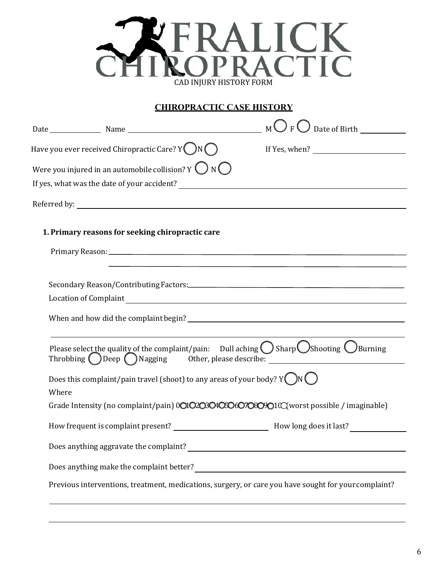

## **CHIROPRACTIC CASE HISTORY**

|       | Have you ever received Chiropractic Care? Y $\bigcirc$ N $\bigcirc$                | If Yes, when? $\overline{\qquad \qquad }$                                                                                                                                                     |
|-------|------------------------------------------------------------------------------------|-----------------------------------------------------------------------------------------------------------------------------------------------------------------------------------------------|
|       | Were you injured in an automobile collision? Y $\bigcirc$ N $\bigcirc$             |                                                                                                                                                                                               |
|       |                                                                                    |                                                                                                                                                                                               |
|       |                                                                                    |                                                                                                                                                                                               |
|       |                                                                                    |                                                                                                                                                                                               |
|       | 1. Primary reasons for seeking chiropractic care                                   |                                                                                                                                                                                               |
|       |                                                                                    |                                                                                                                                                                                               |
|       |                                                                                    |                                                                                                                                                                                               |
|       |                                                                                    |                                                                                                                                                                                               |
|       |                                                                                    |                                                                                                                                                                                               |
|       |                                                                                    |                                                                                                                                                                                               |
|       |                                                                                    |                                                                                                                                                                                               |
|       |                                                                                    | Please select the quality of the complaint/pain: Dull aching $\bigcirc$ Sharp Shooting $\bigcirc$ Burning<br>Throbbing ODeep ONagging Other, please describe: _______________________________ |
|       | Does this complaint/pain travel (shoot) to any areas of your body? $Y(\bigcirc N)$ |                                                                                                                                                                                               |
| Where |                                                                                    |                                                                                                                                                                                               |
|       |                                                                                    | Grade Intensity (no complaint/pain) 0010203040506070809010 (worst possible / imaginable)                                                                                                      |
|       |                                                                                    |                                                                                                                                                                                               |
|       | Does anything aggravate the complaint?                                             | <u> 1989 - John Stein, Amerikaansk politiker (* 1958)</u>                                                                                                                                     |
|       |                                                                                    |                                                                                                                                                                                               |
|       |                                                                                    | Previous interventions, treatment, medications, surgery, or care you have sought for your complaint?                                                                                          |
|       |                                                                                    |                                                                                                                                                                                               |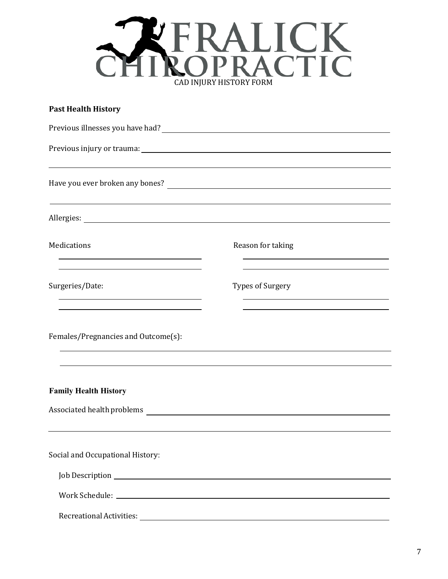

| <b>Past Health History</b>                                                                                                          |                         |  |
|-------------------------------------------------------------------------------------------------------------------------------------|-------------------------|--|
|                                                                                                                                     |                         |  |
|                                                                                                                                     |                         |  |
|                                                                                                                                     |                         |  |
|                                                                                                                                     |                         |  |
| Medications<br><u> 1989 - Johann Stein, marwolaethau a bhann an t-Amhair an t-Amhair an t-Amhair an t-Amhair an t-Amhair an t-A</u> | Reason for taking       |  |
| Surgeries/Date:                                                                                                                     | <b>Types of Surgery</b> |  |
| Females/Pregnancies and Outcome(s):                                                                                                 |                         |  |
| <b>Family Health History</b><br>Associated health problems                                                                          |                         |  |
| Social and Occupational History:                                                                                                    |                         |  |
|                                                                                                                                     |                         |  |
|                                                                                                                                     |                         |  |
|                                                                                                                                     |                         |  |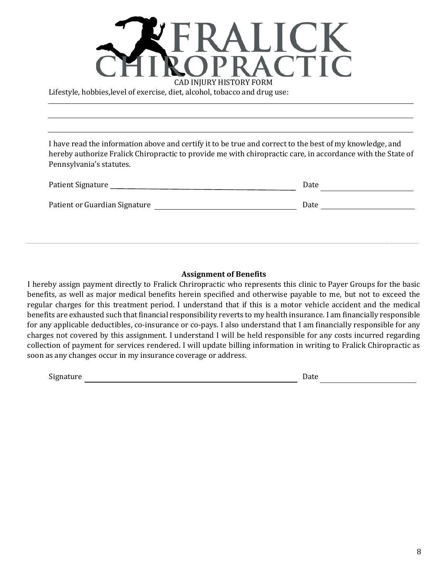

Lifestyle, hobbies,level of exercise, diet, alcohol, tobacco and drug use:

I have read the information above and certify it to be true and correct to the best of my knowledge, and hereby authorize Fralick Chiropractic to provide me with chiropractic care, in accordance with the State of Pennsylvania's statutes.

| Patient Signature             | Date |
|-------------------------------|------|
| Patient or Guardian Signature | Date |
|                               |      |

#### **Assignment of Benefits**

I hereby assign payment directly to Fralick Chriropractic who represents this clinic to Payer Groups for the basic benefits, as well as major medical benefits herein specified and otherwise payable to me, but not to exceed the regular charges for this treatment period. I understand that if this is a motor vehicle accident and the medical benefits are exhausted such that financial responsibility reverts to my health insurance. I am financially responsible for any applicable deductibles, co-insurance or co-pays. I also understand that I am financially responsible for any charges not covered by this assignment. I understand I will be held responsible for any costs incurred regarding collection of payment for services rendered. I will update billing information in writing to Fralick Chiropractic as soon as any changes occur in my insurance coverage or address.

Signature Date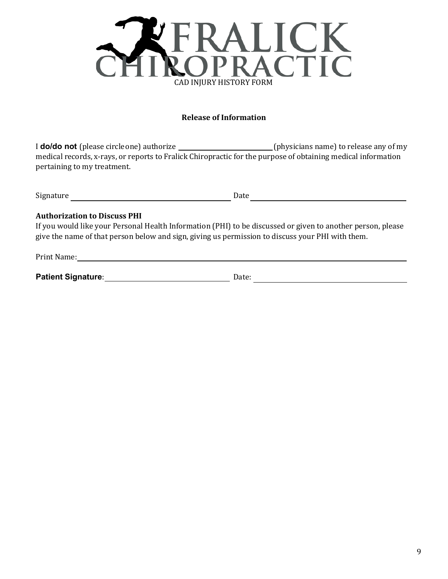

## **Release of Information**

I **do/do not** (please circle one) authorize \_\_\_\_\_\_\_\_\_\_\_\_\_\_\_\_\_\_\_\_\_\_\_\_(physicians name) to release any of my medical records, x-rays, or reports to Fralick Chiropractic for the purpose of obtaining medical information pertaining to my treatment.

| $\sim$<br>$+ \cdot \cdot \cdot$<br>Signature<br>. . | Date |
|-----------------------------------------------------|------|
|                                                     |      |

#### **Authorization to Discuss PHI**

If you would like your Personal Health Information (PHI) to be discussed or given to another person, please give the name of that person below and sign, giving us permission to discuss your PHI with them.

| Prin.<br>. ivame:<br>. |  |  |  |
|------------------------|--|--|--|
|                        |  |  |  |

| <b>Patient Signature:</b> | Jate <sup>.</sup> |
|---------------------------|-------------------|
|                           |                   |